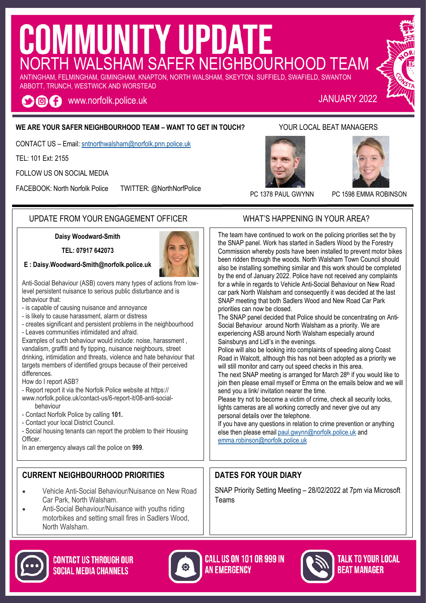# COMMUNITY UPDATE ANTINGHAM, FELMINGHAM, GIMINGHAM, KNAPTON, NORTH WALSHAM, SKEYTON, SUFFIELD, SWAFIELD, SWANTON

ABBOTT, TRUNCH, WESTWICK AND WORSTEAD

OOC www.norfolk.police.uk JANUARY 2022

#### **WE ARE YOUR SAFER NEIGHBOURHOOD TEAM – WANT TO GET IN TOUCH?** YOUR LOCAL BEAT MANAGERS

CONTACT US – Email: [sntnorthwalsham@norfolk.pnn.police.uk](mailto:sntwells@norfolk.pnn.police.uk)

TEL: 101 Ext: 2155

FOLLOW US ON SOCIAL MEDIA

FACEBOOK: North Norfolk Police TWITTER: @NorthNorfPolice







PC 1378 PAUL GWYNN PC 1598 EMMA ROBINSON

#### UPDATE FROM YOUR ENGAGEMENT OFFICER WHAT'S HAPPENING IN YOUR AREA?

#### **Daisy Woodward-Smith**

**TEL: 07917 642073**

#### **E : [Daisy.Woodward-Smith](mailto:Paula.Gilluley@norfolk.pnn.police.uk)@norfolk.police.uk**



- is capable of causing nuisance and annoyance
- is likely to cause harassment, alarm or distress
- creates significant and persistent problems in the neighbourhood - Leaves communities intimidated and afraid.

Examples of such behaviour would include: noise, harassment , vandalism, graffiti and fly tipping, nuisance neighbours, street drinking, intimidation and threats, violence and hate behaviour that targets members of identified groups because of their perceived differences.

How do I report ASB?

- Report report it via the Norfolk Police website at https:// www.norfolk.police.uk/contact-us/6-report-it/08-anti-socialbehaviour
- Contact Norfolk Police by calling **101.**
- Contact your local District Council.
- Social housing tenants can report the problem to their Housing Officer.

In an emergency always call the police on **999**.

#### **CURRENT NEIGHBOURHOOD PRIORITIES**

- Vehicle Anti-Social Behaviour/Nuisance on New Road Car Park, North Walsham.
- Anti-Social Behaviour/Nuisance with youths riding motorbikes and setting small fires in Sadlers Wood, North Walsham.





**CALL US ON 101 OR 999 IN AN EMERGENCY** 



#### TALK TO YOUR LOCAL **REAT MANAGER**

The team have continued to work on the policing priorities set the by the SNAP panel. Work has started in Sadlers Wood by the Forestry Commission whereby posts have been installed to prevent motor bikes been ridden through the woods. North Walsham Town Council should also be installing something similar and this work should be completed by the end of January 2022. Police have not received any complaints for a while in regards to Vehicle Anti-Social Behaviour on New Road car park North Walsham and consequently it was decided at the last SNAP meeting that both Sadlers Wood and New Road Car Park priorities can now be closed.

The SNAP panel decided that Police should be concentrating on Anti-Social Behaviour around North Walsham as a priority. We are experiencing ASB around North Walsham especially around Sainsburys and Lidl's in the evenings.

Police will also be looking into complaints of speeding along Coast Road in Walcott, although this has not been adopted as a priority we will still monitor and carry out speed checks in this area.

The next SNAP meeting is arranged for March 28<sup>th</sup> if you would like to join then please email myself or Emma on the emails below and we will send you a link/ invitation nearer the time.

Please try not to become a victim of crime, check all security locks, lights cameras are all working correctly and never give out any personal details over the telephone.

If you have any questions in relation to crime prevention or anything else then please email [paul.gwynn@norfolk.police.uk](mailto:paul.gwynn@norfolk.police.uk) and [emma.robinson@norfolk.police.uk](mailto:emma.robinson@norfolk.police.uk)

#### **DATES FOR YOUR DIARY**

SNAP Priority Setting Meeting – 28/02/2022 at 7pm via Microsoft Teams